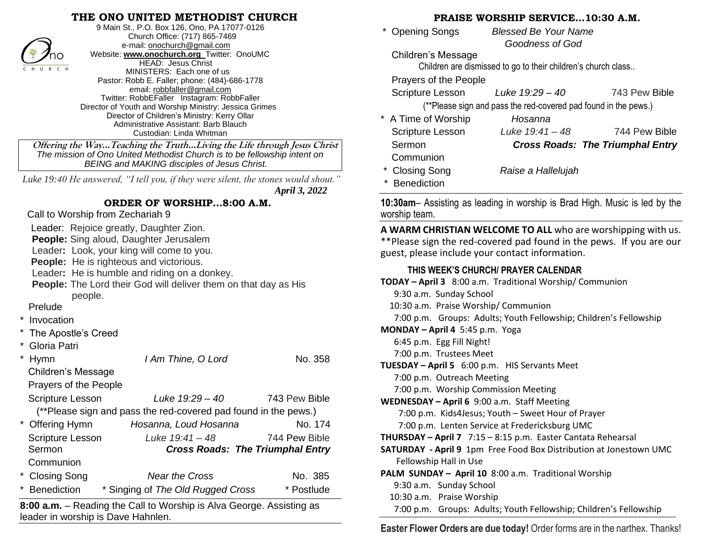## **THE ONO UNITED METHODIST CHURCH**



9 Main St., P.O. Box 126, Ono, PA 17077-0126 Church Office: (717) 865-7469 e-mail[: onochurch@gmail.com](mailto:onochurch@gmail.com) Website: **[www.onochurch.org](http://www.onochurch.org/)** Twitter: OnoUMC HEAD: Jesus Christ MINISTERS: Each one of us Pastor: Robb E. Faller; phone: (484)-686-1778 email: [robbfaller@gmail.com](mailto:robbfaller@gmail.com) Twitter: RobbEFaller Instagram: RobbFaller Director of Youth and Worship Ministry: Jessica Grimes Director of Children's Ministry: Kerry Ollar Administrative Assistant: Barb Blauch Custodian: Linda Whitman

 **Offering the Way…Teaching the Truth…Living the Life through Jesus Christ** *The mission of Ono United Methodist Church is to be fellowship intent on BEING and MAKING disciples of Jesus Christ.* 

 *Luke 19:40 He answered, "I tell you, if they were silent, the stones would shout." April 3, 2022* 

#### **ORDER OF WORSHIP…8:00 A.M.**

Call to Worship from Zechariah 9

Leader: Rejoice greatly, Daughter Zion.

**People:** Sing aloud, Daughter Jerusalem

Leader**:** Look, your king will come to you.

**People:** He is righteous and victorious.

Leader**:** He is humble and riding on a donkey.

**People:** The Lord their God will deliver them on that day as His people.

#### Prelude

- **Invocation**
- The Apostle's Creed
- Gloria Patri

|        | Hymn                                                            | I Am Thine, O Lord                | No. 358                                 |  |  |
|--------|-----------------------------------------------------------------|-----------------------------------|-----------------------------------------|--|--|
|        | <b>Children's Message</b>                                       |                                   |                                         |  |  |
|        | Prayers of the People                                           |                                   |                                         |  |  |
|        | <b>Scripture Lesson</b>                                         | Luke 19:29 - 40                   | 743 Pew Bible                           |  |  |
|        | (**Please sign and pass the red-covered pad found in the pews.) |                                   |                                         |  |  |
|        | * Offering Hymn                                                 | Hosanna, Loud Hosanna             | No. 174                                 |  |  |
|        | <b>Scripture Lesson</b>                                         | Luke 19:41 - 48                   | 744 Pew Bible                           |  |  |
| Sermon |                                                                 |                                   | <b>Cross Roads: The Triumphal Entry</b> |  |  |
|        | Communion                                                       |                                   |                                         |  |  |
|        | * Closing Song                                                  | <b>Near the Cross</b>             | No. 385                                 |  |  |
|        | <b>Benediction</b>                                              | * Singing of The Old Rugged Cross | * Postlude                              |  |  |

**8:00 a.m.** – Reading the Call to Worship is Alva George. Assisting as leader in worship is Dave Hahnlen. 

#### **PRAISE WORSHIP SERVICE…10:30 A.M.**

| * Opening Songs | <b>Blessed Be Your Name</b> |  |
|-----------------|-----------------------------|--|
|                 | <b>Goodness of God</b>      |  |

Children's Message

Children are dismissed to go to their children's church class..

Prayers of the People

**Benediction** 

Scripture Lesson *Luke 19:29 – 40* 743 Pew Bible

(\*\*Please sign and pass the red-covered pad found in the pews.)

| * A Time of Worship     | Hosanna            |                                         |
|-------------------------|--------------------|-----------------------------------------|
| <b>Scripture Lesson</b> | Luke $19:41 - 48$  | 744 Pew Bible                           |
| Sermon                  |                    | <b>Cross Roads: The Triumphal Entry</b> |
| Communion               |                    |                                         |
| * Closing Song          | Raise a Hallelujah |                                         |

**10:30am**– Assisting as leading in worship is Brad High. Music is led by the worship team.

**A WARM CHRISTIAN WELCOME TO ALL** who are worshipping with us. \*\*Please sign the red-covered pad found in the pews. If you are our guest, please include your contact information. 

### **THIS WEEK'S CHURCH/ PRAYER CALENDAR**

**TODAY – April 3** 8:00 a.m. Traditional Worship/ Communion 9:30 a.m. Sunday School 10:30 a.m. Praise Worship/ Communion 7:00 p.m. Groups: Adults; Youth Fellowship; Children's Fellowship **MONDAY – April 4** 5:45 p.m. Yoga 6:45 p.m. Egg Fill Night! 7:00 p.m. Trustees Meet **TUESDAY – April 5** 6:00 p.m. HIS Servants Meet 7:00 p.m. Outreach Meeting 7:00 p.m. Worship Commission Meeting **WEDNESDAY – April 6** 9:00 a.m. Staff Meeting 7:00 p.m. Kids4Jesus; Youth – Sweet Hour of Prayer 7:00 p.m. Lenten Service at Fredericksburg UMC **THURSDAY – April 7** 7:15 – 8:15 p.m. Easter Cantata Rehearsal **SATURDAY - April 9** 1pm Free Food Box Distribution at Jonestown UMC Fellowship Hall in Use **PALM SUNDAY – April 10** 8:00 a.m. Traditional Worship 9:30 a.m. Sunday School 10:30 a.m. Praise Worship 7:00 p.m. Groups: Adults; Youth Fellowship; Children's Fellowship ı

**Easter Flower Orders are due today!** Order forms are in the narthex. Thanks!